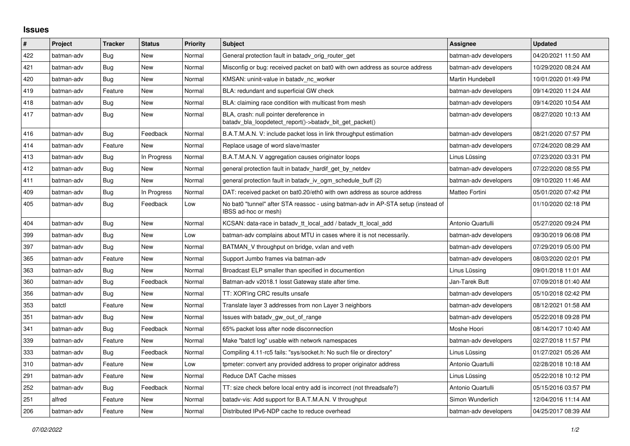## **Issues**

| $\#$ | Project    | <b>Tracker</b> | <b>Status</b> | <b>Priority</b> | <b>Subject</b>                                                                                            | <b>Assignee</b>       | <b>Updated</b>      |
|------|------------|----------------|---------------|-----------------|-----------------------------------------------------------------------------------------------------------|-----------------------|---------------------|
| 422  | batman-adv | Bug            | <b>New</b>    | Normal          | General protection fault in batady orig router get                                                        | batman-adv developers | 04/20/2021 11:50 AM |
| 421  | batman-adv | Bug            | New           | Normal          | Misconfig or bug: received packet on bat0 with own address as source address                              | batman-adv developers | 10/29/2020 08:24 AM |
| 420  | batman-adv | Bug            | New           | Normal          | KMSAN: uninit-value in batady nc worker                                                                   | Martin Hundebøll      | 10/01/2020 01:49 PM |
| 419  | batman-adv | Feature        | New           | Normal          | BLA: redundant and superficial GW check                                                                   | batman-adv developers | 09/14/2020 11:24 AM |
| 418  | batman-adv | Bug            | <b>New</b>    | Normal          | BLA: claiming race condition with multicast from mesh                                                     | batman-adv developers | 09/14/2020 10:54 AM |
| 417  | batman-adv | Bug            | New           | Normal          | BLA, crash: null pointer dereference in<br>batady bla loopdetect report()->batady bit get packet()        | batman-adv developers | 08/27/2020 10:13 AM |
| 416  | batman-adv | Bug            | Feedback      | Normal          | B.A.T.M.A.N. V: include packet loss in link throughput estimation                                         | batman-adv developers | 08/21/2020 07:57 PM |
| 414  | batman-adv | Feature        | <b>New</b>    | Normal          | Replace usage of word slave/master                                                                        | batman-adv developers | 07/24/2020 08:29 AM |
| 413  | batman-adv | Bug            | In Progress   | Normal          | B.A.T.M.A.N. V aggregation causes originator loops                                                        | Linus Lüssing         | 07/23/2020 03:31 PM |
| 412  | batman-adv | <b>Bug</b>     | New           | Normal          | general protection fault in batadv_hardif_get_by_netdev                                                   | batman-adv developers | 07/22/2020 08:55 PM |
| 411  | batman-adv | Bug            | <b>New</b>    | Normal          | general protection fault in batady iv ogm schedule buff (2)                                               | batman-adv developers | 09/10/2020 11:46 AM |
| 409  | batman-adv | Bug            | In Progress   | Normal          | DAT: received packet on bat0.20/eth0 with own address as source address                                   | Matteo Fortini        | 05/01/2020 07:42 PM |
| 405  | batman-adv | Bug            | Feedback      | Low             | No bat0 "tunnel" after STA reassoc - using batman-adv in AP-STA setup (instead of<br>IBSS ad-hoc or mesh) |                       | 01/10/2020 02:18 PM |
| 404  | batman-adv | Bug            | New           | Normal          | KCSAN: data-race in batady_tt_local_add / batady_tt_local_add                                             | Antonio Quartulli     | 05/27/2020 09:24 PM |
| 399  | batman-adv | <b>Bug</b>     | <b>New</b>    | Low             | batman-adv complains about MTU in cases where it is not necessarily.                                      | batman-adv developers | 09/30/2019 06:08 PM |
| 397  | batman-adv | Bug            | New           | Normal          | BATMAN V throughput on bridge, vxlan and veth                                                             | batman-adv developers | 07/29/2019 05:00 PM |
| 365  | batman-adv | Feature        | New           | Normal          | Support Jumbo frames via batman-adv                                                                       | batman-adv developers | 08/03/2020 02:01 PM |
| 363  | batman-adv | Bug            | <b>New</b>    | Normal          | Broadcast ELP smaller than specified in documention                                                       | Linus Lüssing         | 09/01/2018 11:01 AM |
| 360  | batman-adv | Bug            | Feedback      | Normal          | Batman-adv v2018.1 losst Gateway state after time.                                                        | Jan-Tarek Butt        | 07/09/2018 01:40 AM |
| 356  | batman-adv | Bug            | New           | Normal          | TT: XOR'ing CRC results unsafe                                                                            | batman-adv developers | 05/10/2018 02:42 PM |
| 353  | batctl     | Feature        | <b>New</b>    | Normal          | Translate layer 3 addresses from non Layer 3 neighbors                                                    | batman-adv developers | 08/12/2021 01:58 AM |
| 351  | batman-adv | Bug            | New           | Normal          | Issues with batady gw_out_of_range                                                                        | batman-adv developers | 05/22/2018 09:28 PM |
| 341  | batman-adv | Bug            | Feedback      | Normal          | 65% packet loss after node disconnection                                                                  | Moshe Hoori           | 08/14/2017 10:40 AM |
| 339  | batman-adv | Feature        | New           | Normal          | Make "batctl log" usable with network namespaces                                                          | batman-adv developers | 02/27/2018 11:57 PM |
| 333  | batman-adv | Bug            | Feedback      | Normal          | Compiling 4.11-rc5 fails: "sys/socket.h: No such file or directory"                                       | Linus Lüssing         | 01/27/2021 05:26 AM |
| 310  | batman-adv | Feature        | New           | Low             | tpmeter: convert any provided address to proper originator address                                        | Antonio Quartulli     | 02/28/2018 10:18 AM |
| 291  | batman-adv | Feature        | New           | Normal          | Reduce DAT Cache misses                                                                                   | Linus Lüssing         | 05/22/2018 10:12 PM |
| 252  | batman-adv | <b>Bug</b>     | Feedback      | Normal          | TT: size check before local entry add is incorrect (not threadsafe?)                                      | Antonio Quartulli     | 05/15/2016 03:57 PM |
| 251  | alfred     | Feature        | New           | Normal          | batady-vis: Add support for B.A.T.M.A.N. V throughput                                                     | Simon Wunderlich      | 12/04/2016 11:14 AM |
| 206  | batman-adv | Feature        | New           | Normal          | Distributed IPv6-NDP cache to reduce overhead                                                             | batman-adv developers | 04/25/2017 08:39 AM |